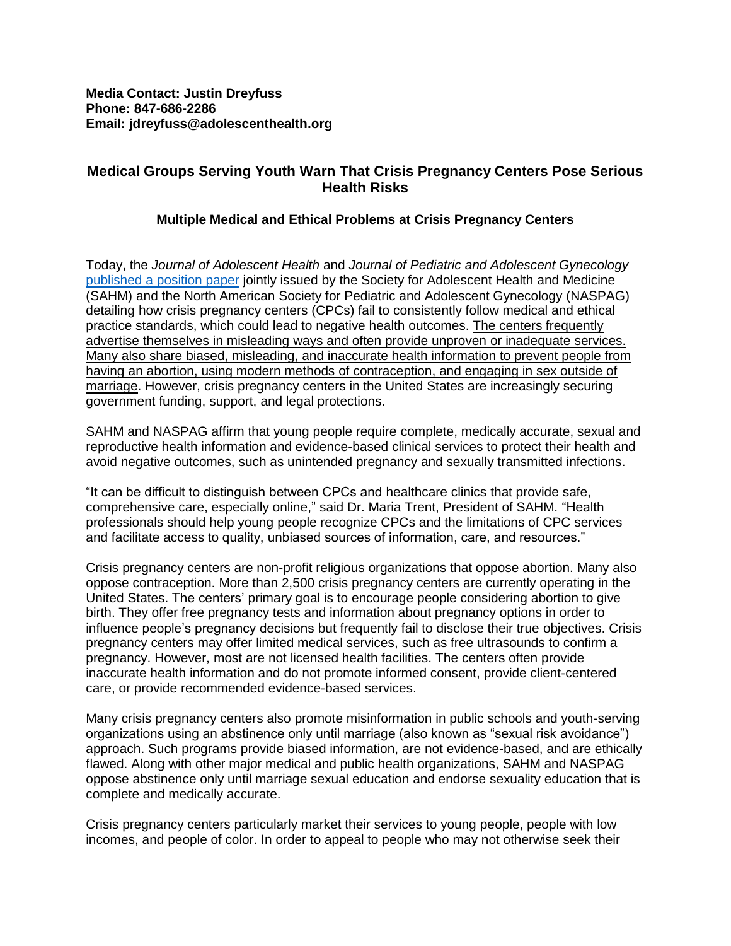## **Medical Groups Serving Youth Warn That Crisis Pregnancy Centers Pose Serious Health Risks**

## **Multiple Medical and Ethical Problems at Crisis Pregnancy Centers**

Today, the *Journal of Adolescent Health* and *Journal of Pediatric and Adolescent Gynecology* [published a position paper](https://www.jahonline.org/article/S1054-139X(19)30413-6/fulltext) jointly issued by the Society for Adolescent Health and Medicine (SAHM) and the North American Society for Pediatric and Adolescent Gynecology (NASPAG) detailing how crisis pregnancy centers (CPCs) fail to consistently follow medical and ethical practice standards, which could lead to negative health outcomes. The centers frequently advertise themselves in misleading ways and often provide unproven or inadequate services. Many also share biased, misleading, and inaccurate health information to prevent people from having an abortion, using modern methods of contraception, and engaging in sex outside of marriage. However, crisis pregnancy centers in the United States are increasingly securing government funding, support, and legal protections.

SAHM and NASPAG affirm that young people require complete, medically accurate, sexual and reproductive health information and evidence-based clinical services to protect their health and avoid negative outcomes, such as unintended pregnancy and sexually transmitted infections.

"It can be difficult to distinguish between CPCs and healthcare clinics that provide safe, comprehensive care, especially online," said Dr. Maria Trent, President of SAHM. "Health professionals should help young people recognize CPCs and the limitations of CPC services and facilitate access to quality, unbiased sources of information, care, and resources."

Crisis pregnancy centers are non-profit religious organizations that oppose abortion. Many also oppose contraception. More than 2,500 crisis pregnancy centers are currently operating in the United States. The centers' primary goal is to encourage people considering abortion to give birth. They offer free pregnancy tests and information about pregnancy options in order to influence people's pregnancy decisions but frequently fail to disclose their true objectives. Crisis pregnancy centers may offer limited medical services, such as free ultrasounds to confirm a pregnancy. However, most are not licensed health facilities. The centers often provide inaccurate health information and do not promote informed consent, provide client-centered care, or provide recommended evidence-based services.

Many crisis pregnancy centers also promote misinformation in public schools and youth-serving organizations using an abstinence only until marriage (also known as "sexual risk avoidance") approach. Such programs provide biased information, are not evidence-based, and are ethically flawed. Along with other major medical and public health organizations, SAHM and NASPAG oppose abstinence only until marriage sexual education and endorse sexuality education that is complete and medically accurate.

Crisis pregnancy centers particularly market their services to young people, people with low incomes, and people of color. In order to appeal to people who may not otherwise seek their